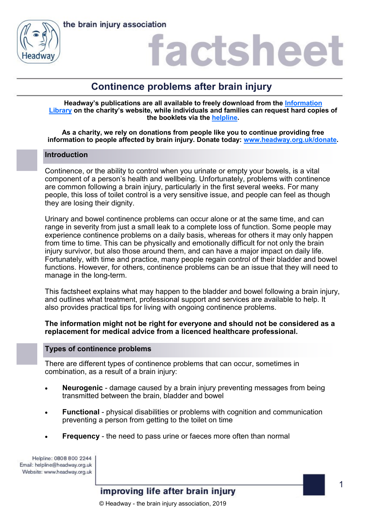



### actshee

### **Continence problems after brain injury**

**Headway's publications are all available to freely download from the [Information](https://www.headway.org.uk/about-brain-injury/individuals/information-library/)  [Library](https://www.headway.org.uk/about-brain-injury/individuals/information-library/) on the charity's website, while individuals and families can request hard copies of the booklets via the [helpline.](https://www.headway.org.uk/supporting-you/helpline/)**

**As a charity, we rely on donations from people like you to continue providing free information to people affected by brain injury. Donate today: [www.headway.org.uk/donate.](http://www.headway.org.uk/donate)**

### **Introduction**

Continence, or the ability to control when you urinate or empty your bowels, is a vital component of a person's health and wellbeing. Unfortunately, problems with continence are common following a brain injury, particularly in the first several weeks. For many people, this loss of toilet control is a very sensitive issue, and people can feel as though they are losing their dignity.

Urinary and bowel continence problems can occur alone or at the same time, and can range in severity from just a small leak to a complete loss of function. Some people may experience continence problems on a daily basis, whereas for others it may only happen from time to time. This can be physically and emotionally difficult for not only the brain injury survivor, but also those around them, and can have a major impact on daily life. Fortunately, with time and practice, many people regain control of their bladder and bowel functions. However, for others, continence problems can be an issue that they will need to manage in the long-term.

This factsheet explains what may happen to the bladder and bowel following a brain injury, and outlines what treatment, professional support and services are available to help. It also provides practical tips for living with ongoing continence problems.

### **The information might not be right for everyone and should not be considered as a replacement for medical advice from a licenced healthcare professional.**

### **Types of continence problems**

There are different types of continence problems that can occur, sometimes in combination, as a result of a brain injury:

- **Neurogenic**  damage caused by a brain injury preventing messages from being transmitted between the brain, bladder and bowel
- **Functional**  physical disabilities or problems with cognition and communication preventing a person from getting to the toilet on time
- **Frequency** the need to pass urine or faeces more often than normal

Helpline: 0808 800 2244 Email: helpline@headway.org.uk Website: www.headway.org.uk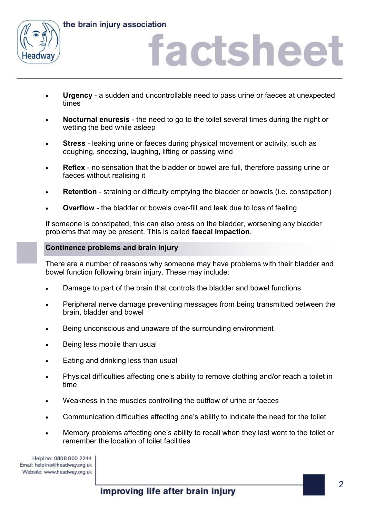

# actshee

- **Urgency**  a sudden and uncontrollable need to pass urine or faeces at unexpected times
- **Nocturnal enuresis**  the need to go to the toilet several times during the night or wetting the bed while asleep
- **Stress** leaking urine or faeces during physical movement or activity, such as coughing, sneezing, laughing, lifting or passing wind
- **Reflex**  no sensation that the bladder or bowel are full, therefore passing urine or faeces without realising it
- **Retention** straining or difficulty emptying the bladder or bowels (i.e. constipation)
- **Overflow**  the bladder or bowels over-fill and leak due to loss of feeling

If someone is constipated, this can also press on the bladder, worsening any bladder problems that may be present. This is called **faecal impaction**.

### **Continence problems and brain injury**

There are a number of reasons why someone may have problems with their bladder and bowel function following brain injury. These may include:

- Damage to part of the brain that controls the bladder and bowel functions
- Peripheral nerve damage preventing messages from being transmitted between the brain, bladder and bowel
- Being unconscious and unaware of the surrounding environment
- Being less mobile than usual
- Eating and drinking less than usual
- Physical difficulties affecting one's ability to remove clothing and/or reach a toilet in time
- Weakness in the muscles controlling the outflow of urine or faeces
- Communication difficulties affecting one's ability to indicate the need for the toilet
- Memory problems affecting one's ability to recall when they last went to the toilet or remember the location of toilet facilities

Helpline: 0808 800 2244 Email: helpline@headway.org.uk Website: www.headway.org.uk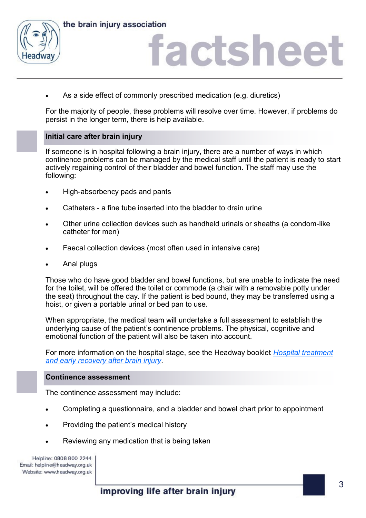

### actshee

As a side effect of commonly prescribed medication (e.g. diuretics)

For the majority of people, these problems will resolve over time. However, if problems do persist in the longer term, there is help available.

### **Initial care after brain injury**

If someone is in hospital following a brain injury, there are a number of ways in which continence problems can be managed by the medical staff until the patient is ready to start actively regaining control of their bladder and bowel function. The staff may use the following:

- High-absorbency pads and pants
- Catheters a fine tube inserted into the bladder to drain urine
- Other urine collection devices such as handheld urinals or sheaths (a condom-like catheter for men)
- Faecal collection devices (most often used in intensive care)
- Anal plugs

Those who do have good bladder and bowel functions, but are unable to indicate the need for the toilet, will be offered the toilet or commode (a chair with a removable potty under the seat) throughout the day. If the patient is bed bound, they may be transferred using a hoist, or given a portable urinal or bed pan to use.

When appropriate, the medical team will undertake a full assessment to establish the underlying cause of the patient's continence problems. The physical, cognitive and emotional function of the patient will also be taken into account.

For more information on the hospital stage, see the Headway booklet *[Hospital treatment](http://www.headway.org.uk/media/3993/hospital-treatment-and-early-recovery-after-brain-injury-e-booklet.pdf)  [and early recovery after brain injury](http://www.headway.org.uk/media/3993/hospital-treatment-and-early-recovery-after-brain-injury-e-booklet.pdf)*.

### **Continence assessment**

The continence assessment may include:

- Completing a questionnaire, and a bladder and bowel chart prior to appointment
- Providing the patient's medical history
- Reviewing any medication that is being taken

Helpline: 0808 800 2244 Email: helpline@headway.org.uk Website: www.headway.org.uk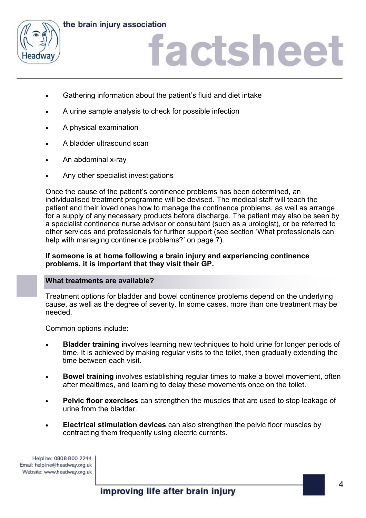



### iactsheet

- Gathering information about the patient's fluid and diet intake
- A urine sample analysis to check for possible infection
- A physical examination
- A bladder ultrasound scan
- An abdominal x-ray
- Any other specialist investigations

Once the cause of the patient's continence problems has been determined, an individualised treatment programme will be devised. The medical staff will teach the patient and their loved ones how to manage the continence problems, as well as arrange for a supply of any necessary products before discharge. The patient may also be seen by a specialist continence nurse advisor or consultant (such as a urologist), or be referred to other services and professionals for further support (see section 'What professionals can help with managing continence problems?' on page 7).

### **If someone is at home following a brain injury and experiencing continence problems, it is important that they visit their GP.**

### **What treatments are available?**

Treatment options for bladder and bowel continence problems depend on the underlying cause, as well as the degree of severity. In some cases, more than one treatment may be needed.

Common options include:

- **Bladder training** involves learning new techniques to hold urine for longer periods of time. It is achieved by making regular visits to the toilet, then gradually extending the time between each visit.
- **Bowel training** involves establishing regular times to make a bowel movement, often after mealtimes, and learning to delay these movements once on the toilet.
- **Pelvic floor exercises** can strengthen the muscles that are used to stop leakage of urine from the bladder.
- **Electrical stimulation devices** can also strengthen the pelvic floor muscles by contracting them frequently using electric currents.

Helpline: 0808 800 2244 Email: helpline@headway.org.uk Website: www.headway.org.uk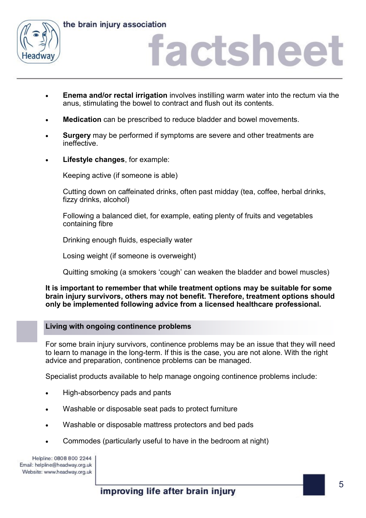

### actshee

- **Enema and/or rectal irrigation** involves instilling warm water into the rectum via the anus, stimulating the bowel to contract and flush out its contents.
- **Medication** can be prescribed to reduce bladder and bowel movements.
- **Surgery** may be performed if symptoms are severe and other treatments are ineffective.
- **Lifestyle changes**, for example:

Keeping active (if someone is able)

Cutting down on caffeinated drinks, often past midday (tea, coffee, herbal drinks, fizzy drinks, alcohol)

Following a balanced diet, for example, eating plenty of fruits and vegetables containing fibre

Drinking enough fluids, especially water

Losing weight (if someone is overweight)

Quitting smoking (a smokers 'cough' can weaken the bladder and bowel muscles)

### **It is important to remember that while treatment options may be suitable for some brain injury survivors, others may not benefit. Therefore, treatment options should only be implemented following advice from a licensed healthcare professional.**

### **Living with ongoing continence problems**

For some brain injury survivors, continence problems may be an issue that they will need to learn to manage in the long-term. If this is the case, you are not alone. With the right advice and preparation, continence problems can be managed.

Specialist products available to help manage ongoing continence problems include:

- High-absorbency pads and pants
- Washable or disposable seat pads to protect furniture
- Washable or disposable mattress protectors and bed pads
- Commodes (particularly useful to have in the bedroom at night)

Helpline: 0808 800 2244 Email: helpline@headway.org.uk Website: www.headway.org.uk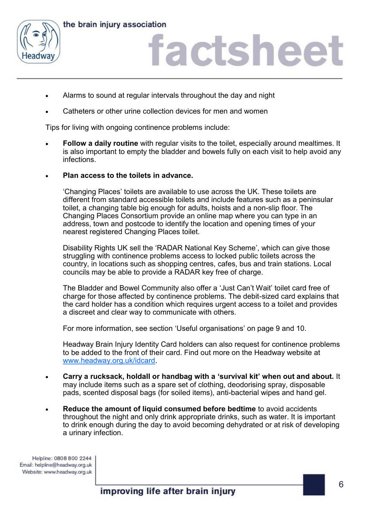



## factsheet

- Alarms to sound at regular intervals throughout the day and night
- Catheters or other urine collection devices for men and women

Tips for living with ongoing continence problems include:

- **Follow a daily routine** with regular visits to the toilet, especially around mealtimes. It is also important to empty the bladder and bowels fully on each visit to help avoid any infections.
- **Plan access to the toilets in advance.**

'Changing Places' toilets are available to use across the UK. These toilets are different from standard accessible toilets and include features such as a peninsular toilet, a changing table big enough for adults, hoists and a non-slip floor. The Changing Places Consortium provide an online map where you can type in an address, town and postcode to identify the location and opening times of your nearest registered Changing Places toilet.

Disability Rights UK sell the 'RADAR National Key Scheme', which can give those struggling with continence problems access to locked public toilets across the country, in locations such as shopping centres, cafes, bus and train stations. Local councils may be able to provide a RADAR key free of charge.

The Bladder and Bowel Community also offer a 'Just Can't Wait' toilet card free of charge for those affected by continence problems. The debit-sized card explains that the card holder has a condition which requires urgent access to a toilet and provides a discreet and clear way to communicate with others.

For more information, see section 'Useful organisations' on page 9 and 10.

Headway Brain Injury Identity Card holders can also request for continence problems to be added to the front of their card. Find out more on the Headway website at [www.headway.org.uk/idcard.](http://www.headway.org.uk/idcard)

- **Carry a rucksack, holdall or handbag with a 'survival kit' when out and about.** It may include items such as a spare set of clothing, deodorising spray, disposable pads, scented disposal bags (for soiled items), anti-bacterial wipes and hand gel.
- **Reduce the amount of liquid consumed before bedtime** to avoid accidents throughout the night and only drink appropriate drinks, such as water. It is important to drink enough during the day to avoid becoming dehydrated or at risk of developing a urinary infection.

Helpline: 0808 800 2244 Email: helpline@headway.org.uk Website: www.headway.org.uk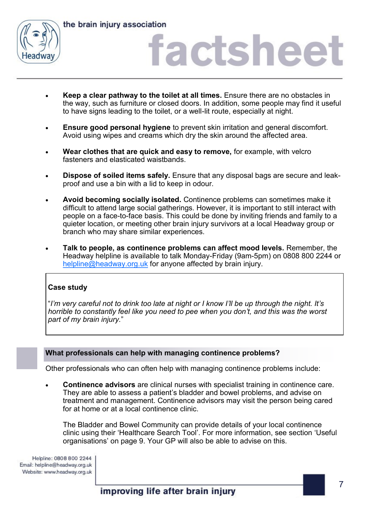

# iactshee

- **Keep a clear pathway to the toilet at all times.** Ensure there are no obstacles in the way, such as furniture or closed doors. In addition, some people may find it useful to have signs leading to the toilet, or a well-lit route, especially at night.
- **Ensure good personal hygiene** to prevent skin irritation and general discomfort. Avoid using wipes and creams which dry the skin around the affected area.
- **Wear clothes that are quick and easy to remove,** for example, with velcro fasteners and elasticated waistbands.
- **Dispose of soiled items safely.** Ensure that any disposal bags are secure and leakproof and use a bin with a lid to keep in odour.
- **Avoid becoming socially isolated.** Continence problems can sometimes make it difficult to attend large social gatherings. However, it is important to still interact with people on a face-to-face basis. This could be done by inviting friends and family to a quieter location, or meeting other brain injury survivors at a local Headway group or branch who may share similar experiences.
- **Talk to people, as continence problems can affect mood levels.** Remember, the Headway helpline is available to talk Monday-Friday (9am-5pm) on 0808 800 2244 or [helpline@headway.org.uk](mailto:helpline@headway.org.uk) for anyone affected by brain injury.

### **Case study**

"*I'm very careful not to drink too late at night or I know I'll be up through the night. It's horrible to constantly feel like you need to pee when you don't, and this was the worst part of my brain injury.*"

### **What professionals can help with managing continence problems?**

Other professionals who can often help with managing continence problems include:

• **Continence advisors** are clinical nurses with specialist training in continence care. They are able to assess a patient's bladder and bowel problems, and advise on treatment and management. Continence advisors may visit the person being cared for at home or at a local continence clinic.

The Bladder and Bowel Community can provide details of your local continence clinic using their 'Healthcare Search Tool'. For more information, see section 'Useful organisations' on page 9. Your GP will also be able to advise on this.

Helpline: 0808 800 2244 Email: helpline@headway.org.uk Website: www.headway.org.uk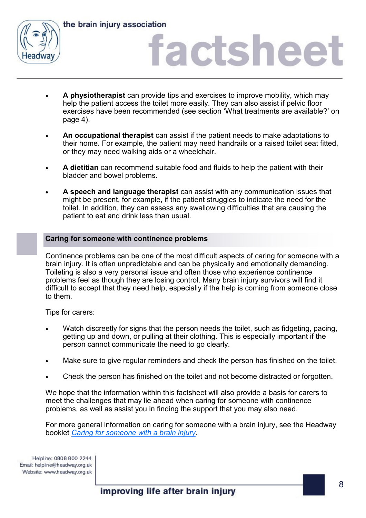

# **factshee**

- **A physiotherapist** can provide tips and exercises to improve mobility, which may help the patient access the toilet more easily. They can also assist if pelvic floor exercises have been recommended (see section 'What treatments are available?' on page 4).
- **An occupational therapist** can assist if the patient needs to make adaptations to their home. For example, the patient may need handrails or a raised toilet seat fitted, or they may need walking aids or a wheelchair.
- **A dietitian** can recommend suitable food and fluids to help the patient with their bladder and bowel problems.
- **A speech and language therapist** can assist with any communication issues that might be present, for example, if the patient struggles to indicate the need for the toilet. In addition, they can assess any swallowing difficulties that are causing the patient to eat and drink less than usual.

### **Caring for someone with continence problems**

Continence problems can be one of the most difficult aspects of caring for someone with a brain injury. It is often unpredictable and can be physically and emotionally demanding. Toileting is also a very personal issue and often those who experience continence problems feel as though they are losing control. Many brain injury survivors will find it difficult to accept that they need help, especially if the help is coming from someone close to them.

Tips for carers:

- Watch discreetly for signs that the person needs the toilet, such as fidgeting, pacing, getting up and down, or pulling at their clothing. This is especially important if the person cannot communicate the need to go clearly.
- Make sure to give regular reminders and check the person has finished on the toilet.
- Check the person has finished on the toilet and not become distracted or forgotten.

We hope that the information within this factsheet will also provide a basis for carers to meet the challenges that may lie ahead when caring for someone with continence problems, as well as assist you in finding the support that you may also need.

For more general information on caring for someone with a brain injury, see the Headway booklet *[Caring for someone with a brain injury](https://www.headway.org.uk/media/3989/caring-for-someone-after-a-brain-injury-e-booklet.pdf)*.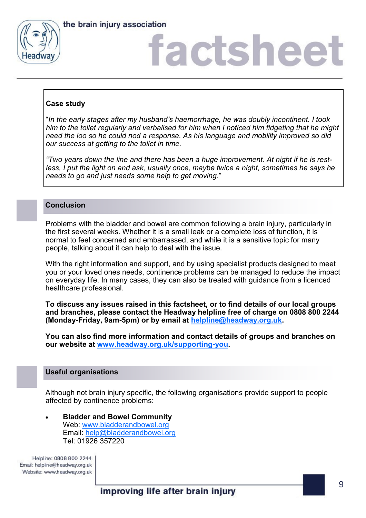



# actshee

### **Case study**

"*In the early stages after my husband's haemorrhage, he was doubly incontinent. I took him to the toilet regularly and verbalised for him when I noticed him fidgeting that he might need the loo so he could nod a response. As his language and mobility improved so did our success at getting to the toilet in time.*

*"Two years down the line and there has been a huge improvement. At night if he is rest*less, I put the light on and ask, usually once, maybe twice a night, sometimes he says he *needs to go and just needs some help to get moving.*"

### **Conclusion**

Problems with the bladder and bowel are common following a brain injury, particularly in the first several weeks. Whether it is a small leak or a complete loss of function, it is normal to feel concerned and embarrassed, and while it is a sensitive topic for many people, talking about it can help to deal with the issue.

With the right information and support, and by using specialist products designed to meet you or your loved ones needs, continence problems can be managed to reduce the impact on everyday life. In many cases, they can also be treated with guidance from a licenced healthcare professional.

**To discuss any issues raised in this factsheet, or to find details of our local groups and branches, please contact the Headway helpline free of charge on 0808 800 2244 (Monday-Friday, 9am-5pm) or by email at [helpline@headway.org.uk.](mailto:helpline@headway.org.uk)** 

**You can also find more information and contact details of groups and branches on our website at [www.headway.org.uk/supporting](http://www.headway.org.uk/supporting-you)-you.** 

### **Useful organisations**

Although not brain injury specific, the following organisations provide support to people affected by continence problems:

• **Bladder and Bowel Community** Web: [www.bladderandbowel.org](http://www.bladderandbowel.org) Email: [help@bladderandbowel.org](mailto:help@bladderandbowel.org) Tel: 01926 357220

Helpline: 0808 800 2244 Email: helpline@headway.org.uk Website: www.headway.org.uk